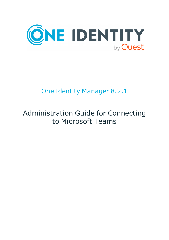

# One Identity Manager 8.2.1

# Administration Guide for Connecting to Microsoft Teams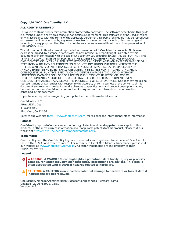#### **Copyright 2022 One Identity LLC.**

#### **ALL RIGHTS RESERVED.**

This guide contains proprietary information protected by copyright. The software described in this guide is furnished under a software license or nondisclosure agreement. This software may be used or copied only in accordance with the terms of the applicable agreement. No part of this guide may be reproduced or transmitted in any form or by any means, electronic or mechanical, including photocopying and recording for any purpose other than the purchaser's personal use without the written permission of One Identity LLC .

The information in this document is provided in connection with One Identity products. No license, express or implied, by estoppel or otherwise, to any intellectual property right is granted by this document or in connection with the sale of One Identity LLC products. EXCEPT AS SET FORTH IN THE TERMS AND CONDITIONS AS SPECIFIED IN THE LICENSE AGREEMENT FOR THIS PRODUCT, ONE IDENTITY ASSUMES NO LIABILITY WHATSOEVER AND DISCLAIMS ANY EXPRESS, IMPLIED OR STATUTORY WARRANTY RELATING TO ITS PRODUCTS INCLUDING, BUT NOT LIMITED TO, THE IMPLIED WARRANTY OF MERCHANTABILITY, FITNESS FOR A PARTICULAR PURPOSE, OR NON-INFRINGEMENT. IN NO EVENT SHALL ONE IDENTITY BE LIABLE FOR ANY DIRECT, INDIRECT, CONSEQUENTIAL, PUNITIVE, SPECIAL OR INCIDENTAL DAMAGES (INCLUDING, WITHOUT LIMITATION, DAMAGES FOR LOSS OF PROFITS, BUSINESS INTERRUPTION OR LOSS OF INFORMATION) ARISING OUT OF THE USE OR INABILITY TO USE THIS DOCUMENT, EVEN IF ONE IDENTITY HAS BEEN ADVISED OF THE POSSIBILITY OF SUCH DAMAGES. One Identity makes no representations or warranties with respect to the accuracy or completeness of the contents of this document and reserves the right to make changes to specifications and product descriptions at any time without notice. One Identity does not make any commitment to update the information contained in this document.

If you have any questions regarding your potential use of this material, contact:

One Identity LLC. Attn: LEGAL Dept 4 Polaris Way Aliso Viejo, CA 92656

Refer to our Web site ([http://www.OneIdentity.com](http://www.oneidentity.com/)) for regional and international office information.

#### **Patents**

One Identity is proud of our advanced technology. Patents and pending patents may apply to this product. For the most current information about applicable patents for this product, please visit our website at [http://www.OneIdentity.com/legal/patents.aspx](http://www.oneidentity.com/legal/patents.aspx).

#### **Trademarks**

One Identity and the One Identity logo are trademarks and registered trademarks of One Identity LLC. in the U.S.A. and other countries. For a complete list of One Identity trademarks, please visit our website at [www.OneIdentity.com/legal](http://www.oneidentity.com/legal). All other trademarks are the property of their respective owners.

#### **Legend**

**WARNING: A WARNING icon highlights a potential risk of bodily injury or property damage, for which industry-standard safety precautions are advised. This icon is often associated with electrical hazards related to hardware.**

**CAUTION: A CAUTION icon indicates potential damage to hardware or loss of data if** A **instructions are not followed.**

One Identity Manager Administration Guide for Connecting to Microsoft Teams Updated - 27 April 2022, 02:59 Version - 8.2.1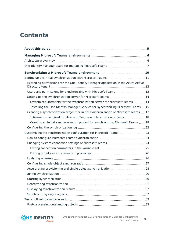## **Contents**

| Setting up the initial synchronization with Microsoft Teams 11                        |  |
|---------------------------------------------------------------------------------------|--|
| Extending permissions for the One Identity Manager application in the Azure Active    |  |
| Users and permissions for synchronizing with Microsoft Teams 12                       |  |
| Setting up the synchronization server for Microsoft Teams 14                          |  |
| System requirements for the synchronization server for Microsoft Teams 14             |  |
| Installing the One Identity Manager Service for synchronizing Microsoft Teams 15      |  |
| Creating a synchronization project for initial synchronization of Microsoft Teams  17 |  |
| Information required for Microsoft Teams synchronization projects 18                  |  |
| Creating an initial synchronization project for synchronizing Microsoft Teams 18      |  |
|                                                                                       |  |
| Customizing the synchronization configuration for Microsoft Teams 23                  |  |
|                                                                                       |  |
|                                                                                       |  |
|                                                                                       |  |
|                                                                                       |  |
|                                                                                       |  |
|                                                                                       |  |
|                                                                                       |  |
|                                                                                       |  |
|                                                                                       |  |
|                                                                                       |  |
|                                                                                       |  |
|                                                                                       |  |
|                                                                                       |  |
|                                                                                       |  |

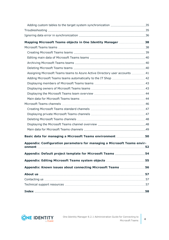| Mapping Microsoft Teams objects in One Identity Manager  38                |  |
|----------------------------------------------------------------------------|--|
|                                                                            |  |
|                                                                            |  |
|                                                                            |  |
|                                                                            |  |
|                                                                            |  |
| Assigning Microsoft Teams teams to Azure Active Directory user accounts 41 |  |
|                                                                            |  |
|                                                                            |  |
|                                                                            |  |
|                                                                            |  |
|                                                                            |  |
|                                                                            |  |
|                                                                            |  |
|                                                                            |  |
|                                                                            |  |
|                                                                            |  |
|                                                                            |  |
| Basic data for managing a Microsoft Teams environment 50                   |  |
| Appendix: Configuration parameters for managing a Microsoft Teams envir-   |  |
|                                                                            |  |
| Appendix: Default project template for Microsoft Teams 54                  |  |
|                                                                            |  |
| Appendix: Known issues about connecting Microsoft Teams 56                 |  |
|                                                                            |  |
|                                                                            |  |
|                                                                            |  |
|                                                                            |  |

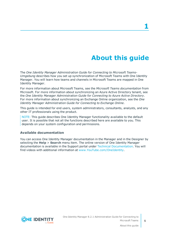# **About this guide**

<span id="page-4-0"></span>The *One Identity Manager Administration Guide for Connecting to Microsoft Teams-Umgebung* describes how you set up synchronization of Microsoft Teams with One Identity Manager. You will learn how teams and channels in Microsoft Teams are mapped in One Identity Manager.

For more information about Microsoft Teams, see the *Microsoft Teams documentation* from Microsoft. For more information about synchronizing an Azure Active Directory tenant, see the *One Identity Manager Administration Guide for Connecting to Azure Active Directory*. For more information about synchronizing an Exchange Online organization, see the *One Identity Manager Administration Guide for Connecting to Exchange Online*.

This guide is intended for end users, system administrators, consultants, analysts, and any other IT professionals using the product.

NOTE: This guide describes One Identity Manager functionality available to the default user. It is possible that not all the functions described here are available to you. This depends on your system configuration and permissions.

### **Available documentation**

You can access One Identity Manager documentation in the Manager and in the Designer by selecting the **Help** > **Search** menu item. The online version of One Identity Manager documentation is available in the Support portal under Technical [Documentation](https://support.oneidentity.com/identity-manager/technical-documents). You will find videos with additional information at [www.YouTube.com/OneIdentity.](http://www.youtube.com/OneIdentity)

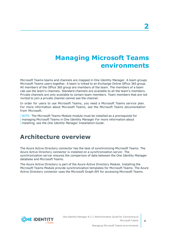# **Managing Microsoft Teams environments**

<span id="page-5-0"></span>Microsoft Teams teams and channels are mapped in One Identity Manager. A team groups Microsoft Teams users together. A team is linked to an Exchange Online Office 365 group. All members of the Office 365 group are members of the team. The members of a team cab use the team's channels. Standard channels are available to all the team's members. Private channels are only available to certain team members. Team members that are not invited to join a private channel cannot see the channel.

In order for users to use Microsoft Teams, you need a Microsoft Teams service plan. For more information about Microsoft Teams, see the *Microsoft Teams documentation* from Microsoft.

NOTE: The Microsoft Teams Module module must be installed as a prerequisite for managing Microsoft Teams in One Identity Manager For more information about installing, see the *One Identity Manager Installation Guide*.

## <span id="page-5-1"></span>**Architecture overview**

The Azure Active Directory connector has the task of synchronizing Microsoft Teams. The Azure Active Directory connector is installed on a synchronization server. The synchronization server ensures the comparison of data between the One Identity Manager database and Microsoft Teams.

The Azure Active Directory is part of the Azure Active Directory Module. Installing the Microsoft Teams Module provide synchronization templates for Microsoft Teams. The Azure Active Directory connector uses the Microsoft Graph API for accessing Microsoft Teams.

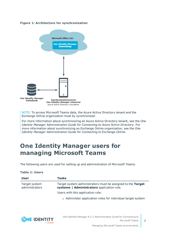### **Figure 1: Architecture for synchronization**



NOTE: To access Microsoft Teams data, the Azure Active Directory tenant and the Exchange Online organization must by synchronized.

For more information about synchronizing an Azure Active Directory tenant, see the *One Identity Manager Administration Guide for Connecting to Azure Active Directory*. For more information about synchronizing an Exchange Online organization, see the *One Identity Manager Administration Guide for Connecting to Exchange Online*.

## <span id="page-6-0"></span>**One Identity Manager users for managing Microsoft Teams**

The following users are used for setting up and administration of Microsoft Teams.

#### **Table 1: Users**

| <b>User</b>                     | Tasks                                                                                                     |
|---------------------------------|-----------------------------------------------------------------------------------------------------------|
| Target system<br>administrators | Target system administrators must be assigned to the Target<br>systems   Administrators application role. |
|                                 | Users with this application role:                                                                         |
|                                 | • Administer application roles for individual target system                                               |

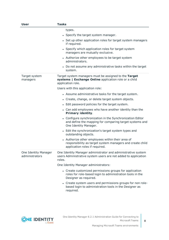| User                                   | <b>Tasks</b>                                                                                                                                    |
|----------------------------------------|-------------------------------------------------------------------------------------------------------------------------------------------------|
|                                        | types.                                                                                                                                          |
|                                        | • Specify the target system manager.                                                                                                            |
|                                        | • Set up other application roles for target system managers<br>if required.                                                                     |
|                                        | • Specify which application roles for target system<br>managers are mutually exclusive.                                                         |
|                                        | • Authorize other employees to be target system<br>administrators.                                                                              |
|                                        | • Do not assume any administrative tasks within the target<br>system.                                                                           |
| Target system<br>managers              | Target system managers must be assigned to the Target<br>systems   Exchange Online application role or a child<br>application role.             |
|                                        | Users with this application role:                                                                                                               |
|                                        | • Assume administrative tasks for the target system.                                                                                            |
|                                        | • Create, change, or delete target system objects.                                                                                              |
|                                        | • Edit password policies for the target system.                                                                                                 |
|                                        | • Can add employees who have another identity than the<br>Primary identity.                                                                     |
|                                        | • Configure synchronization in the Synchronization Editor<br>and define the mapping for comparing target systems and<br>One Identity Manager.   |
|                                        | • Edit the synchronization's target system types and<br>outstanding objects.                                                                    |
|                                        | • Authorize other employees within their area of<br>responsibility as target system managers and create child<br>application roles if required. |
| One Identity Manager<br>administrators | One Identity Manager administrator and administrative system<br>users Administrative system users are not added to application<br>roles.        |
|                                        | One Identity Manager administrators:                                                                                                            |
|                                        | • Create customized permissions groups for application<br>roles for role-based login to administration tools in the<br>Designer as required.    |
|                                        | • Create system users and permissions groups for non role-<br>based login to administration tools in the Designer as<br>required.               |

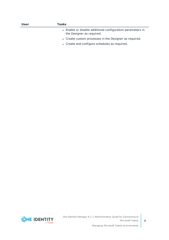| <b>User</b> | Tasks                                                                                   |
|-------------|-----------------------------------------------------------------------------------------|
|             | • Enable or disable additional configuration parameters in<br>the Designer as required. |
|             | • Create custom processes in the Designer as required.                                  |
|             | • Create and configure schedules as required.                                           |

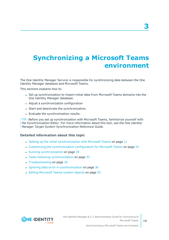# <span id="page-9-0"></span>**Synchronizing a Microsoft Teams environment**

The One Identity Manager Service is responsible for synchronizing data between the One Identity Manager database and Microsoft Teams.

This sections explains how to:

- Set up synchronization to import initial data from Microsoft Teams domains into the One Identity Manager database.
- Adjust a synchronization configuration
- Start and deactivate the synchronization.
- Evaluate the synchronization results.

TIP: Before you set up synchronization with Microsoft Teams, familiarize yourself with the Synchronization Editor. For more information about this tool, see the *One Identity Manager Target System Synchronization Reference Guide*.

#### **Detailed information about this topic**

- Setting up the initial [synchronization](#page-10-0) with Microsoft Teams on page 11
- Customizing the [synchronization](#page-22-0) configuration for Microsoft Teams on page 23
- Running [synchronization](#page-28-0) on page 29
- Tasks following [synchronization](#page-32-0) on page 33
- $\cdot$  [Troubleshooting](#page-34-1) on page 35
- Ignoring data error in [synchronization](#page-35-0) on page 36
- Editing [Microsoft](#page-54-0) Teams system objects on page 55

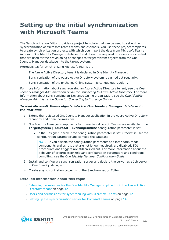## <span id="page-10-0"></span>**Setting up the initial synchronization with Microsoft Teams**

The Synchronization Editor provides a project template that can be used to set up the synchronization of Microsoft Teams teams and channels. You use these project templates to create synchronization projects with which you import the data from Microsoft Teams into your One Identity Manager database. In addition, the required processes are created that are used for the provisioning of changes to target system objects from the One Identity Manager database into the target system.

Prerequisites for synchronizing Microsoft Teams are:

- The Azure Active Directory tenant is declared in One Identity Manager.
- Synchronization of the Azure Active Directory system is carried out regularly.
- Synchronization of the Exchange Online system is carried out regularly.

For more information about synchronizing an Azure Active Directory tenant, see the *One Identity Manager Administration Guide for Connecting to Azure Active Directory*. For more information about synchronizing an Exchange Online organization, see the *One Identity Manager Administration Guide for Connecting to Exchange Online*.

### *To load Microsoft Teams objects into the One Identity Manager database for the first time*

- 1. Extend the registered One Identity Manager application in the Azure Active Directory tenant by additional permissions.
- 2. One Identity Manager components for managing Microsoft Teams are available if the **TargetSystem | AzureAD | ExchangeOnline** configuration parameter is set.
	- In the Designer, check if the configuration parameter is set. Otherwise, set the configuration parameter and compile the database.

NOTE: If you disable the configuration parameter at a later date, model components and scripts that are not longer required, are disabled. SQL procedures and triggers are still carried out. For more information about the behavior of preprocessor relevant configuration parameters and conditional compiling, see the *One Identity Manager Configuration Guide*.

- 3. Install and configure a synchronization server and declare the server as a Job server in One Identity Manager.
- 4. Create a synchronization project with the Synchronization Editor.

### **Detailed information about this topic**

- Extending [permissions](#page-11-0) for the One Identity Manager application in the Azure Active [Directory](#page-11-0) tenant on page 12
- Users and permissions for [synchronizing](#page-11-1) with Microsoft Teams on page 12
- Setting up the [synchronization](#page-13-0) server for Microsoft Teams on page 14

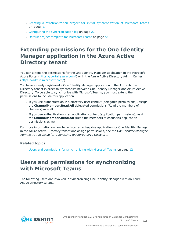- Creating a [synchronization](#page-16-0) project for initial synchronization of Microsoft Teams on [page](#page-16-0) 17
- Configuring the [synchronization](#page-21-0) log on page 22
- Default project template for [Microsoft](#page-53-0) Teams on page 54

## <span id="page-11-0"></span>**Extending permissions for the One Identity Manager application in the Azure Active Directory tenant**

You can extend the permissions for the One Identity Manager application in the Microsoft Azure Portal ([https://portal.azure.com/\)](https://portal.azure.com/) or in the Azure Active Directory Admin Center (<https://admin.microsoft.com/>).

You have already registered a One Identity Manager application in the Azure Active Directory tenant in order to synchronize between One Identity Manager and Azure Active Directory. To be able to synchronize with Microsoft Teams, you must extend the permissions to include this application.

- If you use authentication in a directory user context (delegated permissions), assign the **ChannelMember.Read.All** delegated permissions (Read the members of channels) as well.
- If you use authentication in an application context (application permissions), assign the **ChannelMember.Read.All** (Read the members of channels) application permissions as well.

For more information on how to register an enterprise application for One Identity Manager in the Azure Active Directory tenant and assign permissions, see the *One Identity Manager Administration Guide for Connecting to Azure Active Directory*.

### **Related topics**

• Users and permissions for [synchronizing](#page-11-1) with Microsoft Teams on page 12

## <span id="page-11-1"></span>**Users and permissions for synchronizing with Microsoft Teams**

The following users are involved in synchronizing One Identity Manager with an Azure Active Directory tenant.

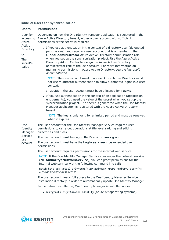### **Table 2: Users for synchronization**

| <b>Users</b>                                          | <b>Permissions</b>                                                                                                                                                                                                                                                                                                                                                                                                                                                                                                                                                                                                                                                                                                                                                                                                     |
|-------------------------------------------------------|------------------------------------------------------------------------------------------------------------------------------------------------------------------------------------------------------------------------------------------------------------------------------------------------------------------------------------------------------------------------------------------------------------------------------------------------------------------------------------------------------------------------------------------------------------------------------------------------------------------------------------------------------------------------------------------------------------------------------------------------------------------------------------------------------------------------|
| User for<br>accessing<br>Azure                        | Depending on how the One Identity Manager application is registered in the<br>Azure Active Directory tenant, either a user account with sufficient<br>permissions or the secret is required.                                                                                                                                                                                                                                                                                                                                                                                                                                                                                                                                                                                                                           |
| Active<br>Directory<br>or<br>The<br>secret's<br>value | • If you use authentication in the context of a directory user (delegated<br>permissions), you require a user account that is a member in the<br>Global administrator Azure Active Directory administration role<br>when you set up the synchronization project. Use the Azure Active<br>Directory Admin Center to assign the Azure Active Directory<br>administrator role to the user account. For more information on<br>managing permissions in Azure Active Directory, see the Microsoft<br>documentation.<br>NOTE: The user account used to access Azure Active Directory must<br>not use multifactor authentication to allow automated logins in a user<br>context.<br>In addition, the user account must have a license for Teams.<br>• If you use authentication in the context of an application (application |
|                                                       | entitlements), you need the value of the secret when you set up the<br>synchronization project. The secret is generated when the One Identity<br>Manager application is registered with the Azure Active Directory<br>tenant.<br>NOTE: The key is only valid for a limited period and must be renewed<br>when it expires.                                                                                                                                                                                                                                                                                                                                                                                                                                                                                              |
| <b>One</b><br>Identity<br>Manager                     | The user account for the One Identity Manager Service requires user<br>permissions to carry out operations at file level (adding and editing<br>directories and files).                                                                                                                                                                                                                                                                                                                                                                                                                                                                                                                                                                                                                                                |
| Service                                               | The user account must belong to the <b>Domain users</b> group.                                                                                                                                                                                                                                                                                                                                                                                                                                                                                                                                                                                                                                                                                                                                                         |
| user<br>account                                       | The user account must have the Login as a service extended user<br>permissions.                                                                                                                                                                                                                                                                                                                                                                                                                                                                                                                                                                                                                                                                                                                                        |
|                                                       | The user account requires permissions for the internal web service.                                                                                                                                                                                                                                                                                                                                                                                                                                                                                                                                                                                                                                                                                                                                                    |
|                                                       | NOTE: If the One Identity Manager Service runs under the network service<br>(NT Authority \NetworkService), you can grant permissions for the<br>internal web service with the following command line call:                                                                                                                                                                                                                                                                                                                                                                                                                                                                                                                                                                                                            |
|                                                       | netsh http add urlacl url=http:// <ip address="">:<port number="">/ user="NT<br/>AUTHORITY\NETWORKSERVICE"</port></ip>                                                                                                                                                                                                                                                                                                                                                                                                                                                                                                                                                                                                                                                                                                 |
|                                                       | The user account needs full access to the One Identity Manager Service<br>installation directory in order to automatically update One Identity Manager.                                                                                                                                                                                                                                                                                                                                                                                                                                                                                                                                                                                                                                                                |
|                                                       | In the default installation, One Identity Manager is installed under:                                                                                                                                                                                                                                                                                                                                                                                                                                                                                                                                                                                                                                                                                                                                                  |
|                                                       |                                                                                                                                                                                                                                                                                                                                                                                                                                                                                                                                                                                                                                                                                                                                                                                                                        |

• %ProgramFiles(x86)%\One Identity (on 32-bit operating systems)

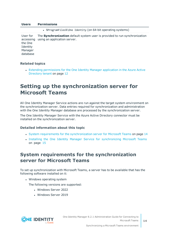#### **Users Permissions**

• %ProgramFiles%\One Identity (on 64-bit operating systems) User for accessing using an application server. the One Identity Manager database The **Synchronization** default system user is provided to run synchronization

### **Related topics**

• Extending [permissions](#page-11-0) for the One Identity Manager application in the Azure Active [Directory](#page-11-0) tenant on page 12

## <span id="page-13-0"></span>**Setting up the synchronization server for Microsoft Teams**

All One Identity Manager Service actions are run against the target system environment on the synchronization server. Data entries required for synchronization and administration with the One Identity Manager database are processed by the synchronization server.

The One Identity Manager Service with the Azure Active Directory connector must be installed on the synchronization server.

#### **Detailed information about this topic**

- System requirements for the [synchronization](#page-13-1) server for Microsoft Teams on page 14
- Installing the One Identity Manager Service for [synchronizing](#page-14-0) Microsoft Teams on [page](#page-14-0) 15

### <span id="page-13-1"></span>**System requirements for the synchronization server for Microsoft Teams**

To set up synchronization with Microsoft Teams, a server has to be available that has the following software installed on it:

• Windows operating system

The following versions are supported:

- Windows Server 2022
- Windows Server 2019

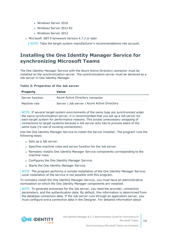- Windows Server 2016
- Windows Server 2012 R2
- **.** Windows Server 2012
- Microsoft .NET Framework Version 4.7.2 or later

NOTE: Take the target system manufacturer's recommendations into account.

### <span id="page-14-0"></span>**Installing the One Identity Manager Service for synchronizing Microsoft Teams**

The One Identity Manager Service with the Azure Active Directory connector must be installed on the synchronization server. The synchronization server must be declared as a Job server in One Identity Manager.

### **Table 3: Properties of the Job server**

| <b>Property</b> | <b>Value</b>                                 |
|-----------------|----------------------------------------------|
| Server function | Azure Active Directory connector             |
| Machine role    | Server   Job server   Azure Active Directory |

NOTE: If several target system environments of the same type are synchronized under the same synchronization server, it is recommended that you set up a Job server for each target system for performance reasons. This avoids unnecessary swapping of connections to target systems because a Job server only has to process tasks of the same type (re-use of existing connections).

Use the One Identity Manager Service to install the Server Installer. The program runs the following steps:

- Sets up a Job server.
- Specifies machine roles and server function for the Job server.
- Remotely installs One Identity Manager Service components corresponding to the machine roles.
- Configures the One Identity Manager Service.
- Starts the One Identity Manager Service.

NOTE: The program performs a remote installation of the One Identity Manager Service. Local installation of the service is not possible with this program.

To remotely install the One Identity Manager Service, you must have an administrative workstation on which the One Identity Manager components are installed.

NOTE: To generate processes for the Job server, you need the provider, connection parameters, and the authentication data. By default, this information is determined from the database connection data. If the Job server runs through an application server, you must configure extra connection data in the Designer. For detailed information about

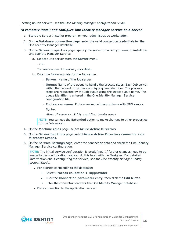setting up Job servers, see the *One Identity Manager Configuration Guide*.

### *To remotely install and configure One Identity Manager Service on a server*

- 1. Start the Server Installer program on your administrative workstation.
- 2. On the **Database connection** page, enter the valid connection credentials for the One Identity Manager database.
- 3. On the **Server properties** page, specify the server on which you want to install the One Identity Manager Service.
	- a. Select a Job server from the **Server** menu.

- OR -

To create a new Job server, click **Add**.

- b. Enter the following data for the Job server.
	- **Server: Name of the Job server.**
	- **.** Oueue: Name of the queue to handle the process steps. Each Job server within the network must have a unique queue identifier. The process steps are requested by the Job queue using this exact queue name. The queue identifier is entered in the One Identity Manager Service configuration file.
	- <sup>l</sup> **Full server name**: Full server name in accordance with DNS syntax.

Syntax:

<Name of servers>.<Fully qualified domain name>

NOTE: You can use the **Extended** option to make changes to other properties for the Job server.

- 4. On the **Machine roles** page, select **Azure Active Directory**.
- 5. On the **Server functions** page, select **Azure Active Directory connector (via Microsoft Graph)**.
- 6. On the **Service Settings** page, enter the connection data and check the One Identity Manager Service configuration.

NOTE: The initial service configuration is predefined. If further changes need to be made to the configuration, you can do this later with the Designer. For detailed information about configuring the service, see the *One Identity Manager Configuration Guide*.

- For a direct connection to the database:
	- 1. Select **Process collection > sqlprovider**.
	- 2. Click the **Connection parameter** entry, then click the **Edit** button.
	- 3. Enter the connection data for the One Identity Manager database.
- For a connection to the application server:

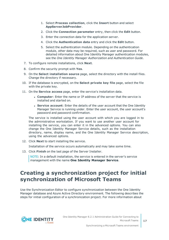- 1. Select **Process collection**, click the **Insert** button and select **AppServerJobProvider**.
- 2. Click the **Connection parameter** entry, then click the **Edit** button.
- 3. Enter the connection data for the application server.
- 4. Click the **Authentication data** entry and click the **Edit** button.
- 5. Select the authentication module. Depending on the authentication module, other data may be required, such as user and password. For detailed information about One Identity Manager authentication modules, see the *One Identity Manager Authorization and Authentication Guide*.
- 7. To configure remote installations, click **Next**.
- 8. Confirm the security prompt with **Yes**.
- 9. On the **Select installation source** page, select the directory with the install files. Change the directory if necessary.
- 10. If the database is encrypted, on the **Select private key file** page, select the file with the private key.
- 11. On the **Service access** page, enter the service's installation data.
	- **Computer**: Enter the name or IP address of the server that the service is installed and started on.
	- **. Service account:** Enter the details of the user account that the One Identity Manager Service is running under. Enter the user account, the user account's password and password confirmation.

The service is installed using the user account with which you are logged in to the administrative workstation. If you want to use another user account for installing the service, you can enter it in the advanced options. You can also change the One Identity Manager Service details, such as the installation directory, name, display name, and the One Identity Manager Service description, using the advanced options.

12. Click **Next** to start installing the service.

Installation of the service occurs automatically and may take some time.

13. Click **Finish** on the last page of the Server Installer.

NOTE: In a default installation, the service is entered in the server's service management with the name **One Identity Manager Service**.

## <span id="page-16-0"></span>**Creating a synchronization project for initial synchronization of Microsoft Teams**

Use the Synchronization Editor to configure synchronization between the One Identity Manager database and Azure Active Directory environment. The following describes the steps for initial configuration of a synchronization project. For more information about

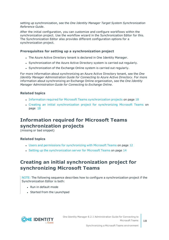setting up synchronization, see the *One Identity Manager Target System Synchronization Reference Guide*.

After the initial configuration, you can customize and configure workflows within the synchronization project. Use the workflow wizard in the Synchronization Editor for this. The Synchronization Editor also provides different configuration options for a synchronization project.

### **Prerequisites for setting up a synchronization project**

- The Azure Active Directory tenant is declared in One Identity Manager.
- Synchronization of the Azure Active Directory system is carried out regularly.
- Synchronization of the Exchange Online system is carried out regularly.

For more information about synchronizing an Azure Active Directory tenant, see the *One Identity Manager Administration Guide for Connecting to Azure Active Directory*. For more information about synchronizing an Exchange Online organization, see the *One Identity Manager Administration Guide for Connecting to Exchange Online*.

### **Related topics**

- <sup>l</sup> Information required for Microsoft Teams [synchronization](#page-17-0) projects on page 18
- Creating an initial [synchronization](#page-17-1) project for synchronizing Microsoft Teams on [page](#page-17-1) 18

### <span id="page-17-0"></span>**Information required for Microsoft Teams synchronization projects**

(missing or bad snippet)

### **Related topics**

- Users and permissions for [synchronizing](#page-11-1) with Microsoft Teams on page 12
- Setting up the [synchronization](#page-13-0) server for Microsoft Teams on page 14

### <span id="page-17-1"></span>**Creating an initial synchronization project for synchronizing Microsoft Teams**

NOTE: The following sequence describes how to configure a synchronization project if the Synchronization Editor is both:

- Run in default mode
- Started from the Launchpad

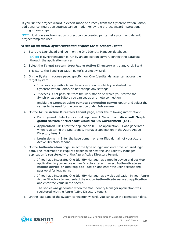If you run the project wizard in expert mode or directly from the Synchronization Editor, additional configuration settings can be made. Follow the project wizard instructions through these steps.

NOTE: Just one synchronization project can be created per target system and default project template used.

### *To set up an initial synchronization project for Microsoft Teams*

1. Start the Launchpad and log in on the One Identity Manager database.

NOTE: If synchronization is run by an application server, connect the database through the application server.

2. Select the **Target system type Azure Active Directory** entry and click **Start**.

This starts the Synchronization Editor's project wizard.

- 3. On the **System access** page, specify how One Identity Manager can access the target system.
	- If access is possible from the workstation on which you started the Synchronization Editor, do not change any settings.
	- If access is not possible from the workstation on which you started the Synchronization Editor, you can set up a remote connection.

Enable the **Connect using remote connection server** option and select the server to be used for the connection under **Job server**.

- 4. On the **Azure Active Directory tenant** page, enter the following information:
	- <sup>l</sup> **Deployment**: Select your cloud deployment. Select from **Microsoft Graph global service** or **Microsoft Cloud for US Government (L4)** .
	- **Application ID**: Enter the application ID. The application ID was generated when registering the One Identity Manager application in the Azure Active Directory tenant.
	- **Login domain**: Enter the base domain or a verified domain of your Azure Active Directory tenant.
- 5. On the **Authentication** page, select the type of login and enter the required login data. The information is required depends on how the One Identity Manager application is registered with the Azure Active Directory tenant.
	- If you have integrated One Identity Manager as a mobile device and desktop application in your Azure Active Directory tenant, select **Authenticate as mobile device or desktop application** and enter the user account and password for logging in.
	- If you have integrated One Identity Manager as a web application in your Azure Active Directory tenant, select the option **Authenticate as web application** and enter the value in the secret.

The secret was generated when the One Identity Manager application was registered with the Azure Active Directory tenant.

6. On the last page of the system connection wizard, you can save the connection data.

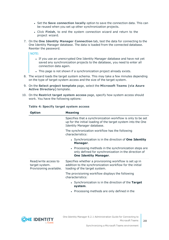- **.** Set the **Save connection locally** option to save the connection data. This can be reused when you set up other synchronization projects.
- <sup>l</sup> Click **Finish**, to end the system connection wizard and return to the project wizard.
- 7. On the **One Identity Manager Connection** tab, test the data for connecting to the One Identity Manager database. The data is loaded from the connected database. Reenter the password.

NOTE:

- If you use an unencrypted One Identity Manager database and have not yet saved any synchronization projects to the database, you need to enter all connection data again.
- This page is not shown if a synchronization project already exists.
- 8. The wizard loads the target system schema. This may take a few minutes depending on the type of target system access and the size of the target system.
- 9. On the **Select project template** page, select the **Microsoft Teams (via Azure Active Directory)** template.
- 10. On the **Restrict target system access** page, specify how system access should work. You have the following options:

| <b>Option</b>                                                     | <b>Meaning</b>                                                                                                                                            |
|-------------------------------------------------------------------|-----------------------------------------------------------------------------------------------------------------------------------------------------------|
|                                                                   | Specifies that a synchronization workflow is only to be set<br>up for the initial loading of the target system into the One<br>Identity Manager database. |
|                                                                   | The synchronization workflow has the following<br>characteristics:                                                                                        |
|                                                                   | • Synchronization is in the direction of <b>One Identity</b><br>Manager.                                                                                  |
|                                                                   | • Processing methods in the synchronization steps are<br>only defined for synchronization in the direction of<br><b>One Identity Manager.</b>             |
| Read/write access to<br>target system.<br>Provisioning available. | Specifies whether a provisioning workflow is set up in<br>addition to the synchronization workflow for the initial<br>loading of the target system.       |
|                                                                   | The provisioning workflow displays the following<br>characteristics:                                                                                      |
|                                                                   | • Synchronization is in the direction of the Target<br>system.                                                                                            |
|                                                                   | • Processing methods are only defined in the                                                                                                              |

### **Table 4: Specify target system access**

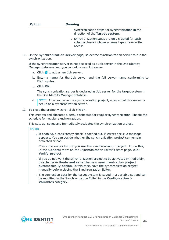| <b>Option</b> | <b>Meaning</b>                                                                                               |
|---------------|--------------------------------------------------------------------------------------------------------------|
|               | synchronization steps for synchronization in the<br>direction of the Target system.                          |
|               | • Synchronization steps are only created for such<br>schema classes whose schema types have write<br>access. |

11. On the **Synchronization server** page, select the synchronization server to run the synchronization.

If the synchronization server is not declared as a Job server in the One Identity Manager database yet, you can add a new Job server.

- a. Click  $\mathbf{t}$  to add a new Job server.
- b. Enter a name for the Job server and the full server name conforming to DNS syntax.
- c. Click **OK**.

The synchronization server is declared as Job server for the target system in the One Identity Manager database.

- d. NOTE: After you save the synchronization project, ensure that this server is set up as a synchronization server.
- 12. To close the project wizard, click **Finish**.

This creates and allocates a default schedule for regular synchronization. Enable the schedule for regular synchronization.

This sets up, saves and immediately activates the synchronization project.

NOTE:

• If enabled, a consistency check is carried out. If errors occur, a message appears. You can decide whether the synchronization project can remain activated or not.

Check the errors before you use the synchronization project. To do this, in the **General** view on the Synchronization Editor's start page, click **Verify project**.

- If you do not want the synchronization project to be activated immediately, disable the **Activate and save the new synchronization project automatically option**. In this case, save the synchronization project manually before closing the Synchronization Editor.
- The connection data for the target system is saved in a variable set and can be modified in the Synchronization Editor in the **Configuration > Variables** category.

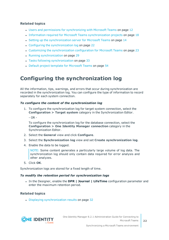### **Related topics**

- Users and permissions for [synchronizing](#page-11-1) with Microsoft Teams on page 12
- Information required for Microsoft Teams [synchronization](#page-17-0) projects on page 18
- Setting up the [synchronization](#page-13-0) server for Microsoft Teams on page 14
- Configuring the [synchronization](#page-21-0) log on page 22
- Customizing the [synchronization](#page-22-0) configuration for Microsoft Teams on page 23
- Running [synchronization](#page-28-0) on page 29
- Tasks following [synchronization](#page-32-0) on page 33
- Default project template for [Microsoft](#page-53-0) Teams on page 54

## <span id="page-21-0"></span>**Configuring the synchronization log**

All the information, tips, warnings, and errors that occur during synchronization are recorded in the synchronization log. You can configure the type of information to record separately for each system connection.

#### *To configure the content of the synchronization log*

- 1. To configure the synchronization log for target system connection, select the **Configuration > Target system** category in the Synchronization Editor.
	- $OR -$

To configure the synchronization log for the database connection, select the **Configuration > One Identity Manager connection** category in the Synchronization Editor.

- 2. Select the **General** view and click **Configure**.
- 3. Select the **Synchronization log** view and set **Create synchronization log**.
- 4. Enable the data to be logged.

NOTE: Some content generates a particularly large volume of log data. The synchronization log should only contain data required for error analysis and other analyzes.

5. Click **OK**.

Synchronization logs are stored for a fixed length of time.

#### *To modify the retention period for synchronization logs*

<sup>l</sup> In the Designer, enable the **DPR | Journal | LifeTime** configuration parameter and enter the maximum retention period.

### **Related topics**

• Displaying [synchronization](#page-31-0) results on page 32



One Identity Manager 8.2.1 Administration Guide for Connecting to Microsoft Teams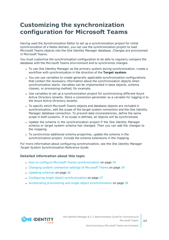## <span id="page-22-0"></span>**Customizing the synchronization configuration for Microsoft Teams**

Having used the Synchronization Editor to set up a synchronization project for initial synchronization of a Notes domain, you can use the synchronization project to load Microsoft Teams objects into the One Identity Manager database. Changes are provisioned in Microsoft Teams.

You must customize the synchronization configuration to be able to regularly compare the database with the Microsoft Teams environment and to synchronize changes.

- To use One Identity Manager as the primary system during synchronization, create a workflow with synchronization in the direction of the **Target system**.
- You can use variables to create generally applicable synchronization configurations that contain the necessary information about the synchronization objects when synchronization starts. Variables can be implemented in base objects, schema classes, or processing method, for example.
- Use variables to set up a synchronization project for synchronizing different Azure Active Directory tenants. Store a connection parameter as a variable for logging in to the Azure Active Directory tenants.
- To specify which Microsoft Teams objects and database objects are included in synchronization, edit the scope of the target system connection and the One Identity Manager database connection. To prevent data inconsistencies, define the same scope in both systems. If no scope is defined, all objects will be synchronized.
- Update the schema in the synchronization project if the One Identity Manager schema or target system schema has changed. Then you can add the changes to the mapping.
- To synchronize additional schema properties, update the schema in the synchronization project. Include the schema extensions in the mapping.

For more information about configuring synchronization, see the *One Identity Manager Target System Synchronization Reference Guide*.

### **Detailed information about this topic**

- How to configure Microsoft Teams [synchronization](#page-23-0) on page 24
- Changing system [connection](#page-23-1) settings of Microsoft Teams on page 24
- [Updating](#page-25-1) schemas on page 26
- Configuring single object [synchronization](#page-26-0) on page 27
- Accelerating provisioning and single object [synchronization](#page-27-0) on page 28

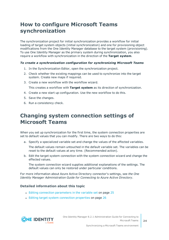## <span id="page-23-0"></span>**How to configure Microsoft Teams synchronization**

The synchronization project for initial synchronization provides a workflow for initial loading of target system objects (initial synchronization) and one for provisioning object modifications from the One Identity Manager database to the target system (provisioning). To use One Identity Manager as the primary system during synchronization, you also require a workflow with synchronization in the direction of the **Target system**.

### *To create a synchronization configuration for synchronizing Microsoft Teams*

- 1. In the Synchronization Editor, open the synchronization project.
- 2. Check whether the existing mappings can be used to synchronize into the target system. Create new maps if required.
- 3. Create a new workflow with the workflow wizard.

This creates a workflow with **Target system** as its direction of synchronization.

- 4. Create a new start up configuration. Use the new workflow to do this.
- 5. Save the changes.
- <span id="page-23-1"></span>6. Run a consistency check.

## **Changing system connection settings of Microsoft Teams**

When you set up synchronization for the first time, the system connection properties are set to default values that you can modify. There are two ways to do this:

a. Specify a specialized variable set and change the values of the affected variables.

The default values remain untouched in the default variable set. The variables can be reset to the default values at any time. (Recommended action).

b. Edit the target system connection with the system connection wizard and change the effected values.

The system connection wizard supplies additional explanations of the settings. The default values can only be restored under particular conditions.

For more information about Azure Active Directory connector's settings, see *the One Identity Manager Administration Guide for Connecting to Azure Active Directory*.

### **Detailed information about this topic**

- Editing connection [parameters](#page-24-0) in the variable set on page 25
- Editing target system [connection](#page-25-0) properties on page 26

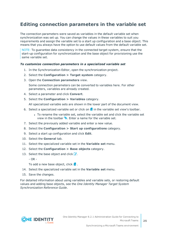### <span id="page-24-0"></span>**Editing connection parameters in the variable set**

The connection parameters were saved as variables in the default variable set when synchronization was set up. You can change the values in these variables to suit you requirements and assign the variable set to a start up configuration and a base object. This means that you always have the option to use default values from the default variable set.

NOTE: To guarantee data consistency in the connected target system, ensure that the start-up configuration for synchronization and the base object for provisioning use the same variable set.

### *To customize connection parameters in a specialized variable set*

- 1. In the Synchronization Editor, open the synchronization project.
- 2. Select the **Configuration > Target system** category.
- 3. Open the **Connection parameters** view.

Some connection parameters can be converted to variables here. For other parameters, variables are already created.

- 4. Select a parameter and click **Convert**.
- 5. Select the **Configuration > Variables** category.

All specialized variable sets are shown in the lower part of the document view.

- 6. Select a specialized variable set or click on  $\mathbf{\hat{H}}$  in the variable set view's toolbar.
	- To rename the variable set, select the variable set and click the variable set view in the toolbar  $\bullet$ . Enter a name for the variable set.
- 7. Select the previously added variable and enter a new value.
- 8. Select the **Configuration > Start up configurations** category.
- 9. Select a start up configuration and click **Edit**.
- 10. Select the **General** tab.
- 11. Select the specialized variable set in the **Variable set** menu.
- 12. Select the **Configuration > Base objects** category.
- 13. Select the base object and click  $\mathbb Z$ .
	- $-$  OR  $-$

To add a new base object, click  $\mathbf{1}$ .

- 14. Select the specialized variable set in the **Variable set** menu.
- 15. Save the changes.

For detailed information about using variables and variable sets, or restoring default values and adding base objects, see the *One Identity Manager Target System Synchronization Reference Guide*.

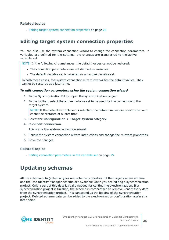### **Related topics**

• Editing target system [connection](#page-25-0) properties on page 26

### <span id="page-25-0"></span>**Editing target system connection properties**

You can also use the system connection wizard to change the connection parameters. If variables are defined for the settings, the changes are transferred to the active variable set.

NOTE: In the following circumstances, the default values cannot be restored:

- The connection parameters are not defined as variables.
- The default variable set is selected as an active variable set.

In both these cases, the system connection wizard overwrites the default values. They cannot be restored at a later time.

### *To edit connection parameters using the system connection wizard*

- 1. In the Synchronization Editor, open the synchronization project.
- 2. In the toolbar, select the active variable set to be used for the connection to the target system.

NOTE: If the default variable set is selected, the default values are overwritten and cannot be restored at a later time.

- 3. Select the **Configuration > Target system** category.
- 4. Click **Edit connection**.

This starts the system connection wizard.

- 5. Follow the system connection wizard instructions and change the relevant properties.
- 6. Save the changes.

### **Related topics**

• Editing connection [parameters](#page-24-0) in the variable set on page 25

## <span id="page-25-1"></span>**Updating schemas**

All the schema data (schema types and schema properties) of the target system schema and the One Identity Manager schema are available when you are editing a synchronization project. Only a part of this data is really needed for configuring synchronization. If a synchronization project is finished, the schema is compressed to remove unnecessary data from the synchronization project. This can speed up the loading of the synchronization project. Deleted schema data can be added to the synchronization configuration again at a later point.

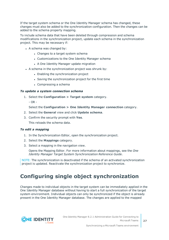If the target system schema or the One Identity Manager schema has changed, these changes must also be added to the synchronization configuration. Then the changes can be added to the schema property mapping.

To include schema data that have been deleted through compression and schema modifications in the synchronization project, update each schema in the synchronization project. This may be necessary if:

- $\bullet$  A schema was changed by:
	- Changes to a target system schema
	- Customizations to the One Identity Manager schema
	- A One Identity Manager update migration
- $\bullet$  A schema in the synchronization project was shrunk by:
	- Enabling the synchronization project
	- Saving the synchronization project for the first time
	- $\bullet$  Compressing a schema

### *To update a system connection schema*

- 1. Select the **Configuration > Target system** category.
	- OR -

Select the **Configuration > One Identity Manager connection** category.

- 2. Select the **General** view and click **Update schema**.
- 3. Confirm the security prompt with **Yes**.

This reloads the schema data.

#### *To edit a mapping*

- 1. In the Synchronization Editor, open the synchronization project.
- 2. Select the **Mappings** category.
- 3. Select a mapping in the navigation view.

Opens the Mapping Editor. For more information about mappings, see the *One Identity Manager Target System Synchronization Reference Guide*.

NOTE: The synchronization is deactivated if the schema of an activated synchronization project is updated. Reactivate the synchronization project to synchronize.

## <span id="page-26-0"></span>**Configuring single object synchronization**

Changes made to individual objects in the target system can be immediately applied in the One Identity Manager database without having to start a full synchronization of the target system environment. Individual objects can only be synchronized if the object is already present in the One Identity Manager database. The changes are applied to the mapped

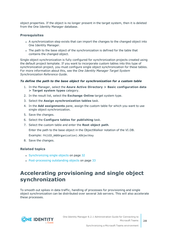object properties. If the object is no longer present in the target system, then it is deleted from the One Identity Manager database.

### **Prerequisites**

- A synchronization step exists that can import the changes to the changed object into One Identity Manager.
- The path to the base object of the synchronization is defined for the table that contains the changed object.

Single object synchronization is fully configured for synchronization projects created using the default project template. If you want to incorporate custom tables into this type of synchronization project, you must configure single object synchronization for these tables. For more information about this, see the *One Identity Manager Target System Synchronization Reference Guide*.

### *To define the path to the base object for synchronization for a custom table*

- 1. In the Manager, select the **Azure Active Directory > Basic configuration data > Target system types** category.
- 2. In the result list, select the **Exchange Online** target system type.
- 3. Select the **Assign synchronization tables** task.
- 4. In the **Add assignments** pane, assign the custom table for which you want to use single object synchronization.
- 5. Save the changes.
- 6. Select the **Configure tables for publishing** task.
- 7. Select the custom table and enter the **Root object path**. Enter the path to the base object in the ObjectWalker notation of the VI.DB. Example: FK(UID\_AADOrganization).XObjectKey
- 8. Save the changes.

### **Related topics**

- [Synchronizing](#page-31-1) single objects on page 32
- [Post-processing](#page-32-1) outstanding objects on page 33

## <span id="page-27-0"></span>**Accelerating provisioning and single object synchronization**

To smooth out spikes in data traffic, handling of processes for provisioning and single object synchronization can be distributed over several Job servers. This will also accelerate these processes.

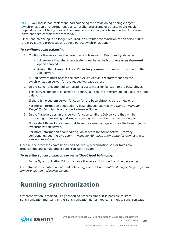NOTE: You should not implement load balancing for provisioning or single object synchronization on a permanent basis. Parallel processing of objects might result in dependencies not being resolved because referenced objects from another Job server have not been completely processed.

Once load balancing is no longer required, ensure that the synchronization server runs the provisioning processes and single object synchronization.

### *To configure load balancing*

- 1. Configure the server and declare it as a Job server in One Identity Manager.
	- <sup>l</sup> Job servers that share processing must have the **No process assignment** option enabled.
	- <sup>l</sup> Assign the **Azure Active Directory connector** server function to the Job server.

All Job servers must access the same Azure Active Directory tenant as the synchronization server for the respective base object.

2. In the Synchronization Editor, assign a custom server function to the base object.

This server function is used to identify all the Job servers being used for load balancing.

If there is no custom server function for the base object, create a new one.

For more information about editing base objects, see the *One Identity Manager Target System Synchronization Reference Guide*.

3. In the Manager, assign this server function to all the Job servers that will be processing provisioning and single object synchronization for the base object.

Only select those Job servers that have the same configuration as the base object's synchronization server.

For more information about editing Job servers for Azure Active Directory components, see the *One Identity Manager Administration Guide for Connecting to Azure Active Directory*.

Once all the processes have been handled, the synchronization server takes over provisioning and single object synchronization again.

### *To use the synchronization server without load balancing.*

In the Synchronization Editor, remove the server function from the base object.

For detailed information about load balancing, see the *One Identity Manager Target System Synchronization Reference Guide*.

## <span id="page-28-0"></span>**Running synchronization**

Synchronization is started using scheduled process plans. It is possible to start synchronization manually in the Synchronization Editor. You can simulate synchronization

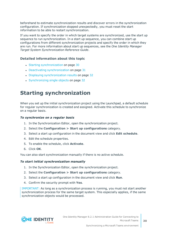beforehand to estimate synchronization results and discover errors in the synchronization configuration. If synchronization stopped unexpectedly, you must reset the start information to be able to restart synchronization.

If you want to specify the order in which target systems are synchronized, use the start up sequence to run synchronization. In a start up sequence, you can combine start up configurations from different synchronization projects and specify the order in which they are run. For more information about start up sequences, see the *One Identity Manager Target System Synchronization Reference Guide*.

### **Detailed information about this topic**

- Starting [synchronization](#page-29-0) on page 30
- Deactivating [synchronization](#page-30-0) on page 31
- Displaying [synchronization](#page-31-0) results on page 32
- [Synchronizing](#page-31-1) single objects on page 32

## <span id="page-29-0"></span>**Starting synchronization**

When you set up the initial synchronization project using the Launchpad, a default schedule for regular synchronization is created and assigned. Activate this schedule to synchronize on a regular basis.

### *To synchronize on a regular basis*

- 1. In the Synchronization Editor, open the synchronization project.
- 2. Select the **Configuration > Start up configurations** category.
- 3. Select a start up configuration in the document view and click **Edit schedule**.
- 4. Edit the schedule properties.
- 5. To enable the schedule, click **Activate**.
- 6. Click **OK**.

You can also start synchronization manually if there is no active schedule.

#### *To start initial synchronization manually*

- 1. In the Synchronization Editor, open the synchronization project.
- 2. Select the **Configuration > Start up configurations** category.
- 3. Select a start up configuration in the document view and click **Run**.
- 4. Confirm the security prompt with **Yes**.

IMPORTANT: As long as a synchronization process is running, you must not start another synchronization process for the same target system. This especially applies, if the same synchronization objects would be processed.

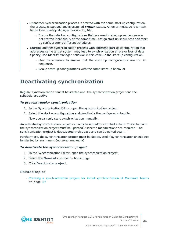- If another synchronization process is started with the same start up configuration, the process is stopped and is assigned **Frozen** status. An error message is written to the One Identity Manager Service log file.
	- Ensure that start up configurations that are used in start up sequences are not started individually at the same time. Assign start up sequences and start up configurations different schedules.
- Starting another synchronization process with different start up configuration that addresses same target system may lead to synchronization errors or loss of data. Specify One Identity Manager behavior in this case, in the start up configuration.
	- Use the schedule to ensure that the start up configurations are run in sequence.
	- Group start up configurations with the same start up behavior.

## <span id="page-30-0"></span>**Deactivating synchronization**

Regular synchronization cannot be started until the synchronization project and the schedule are active.

### *To prevent regular synchronization*

- 1. In the Synchronization Editor, open the synchronization project.
- 2. Select the start up configuration and deactivate the configured schedule.

Now you can only start synchronization manually.

An activated synchronization project can only be edited to a limited extend. The schema in the synchronization project must be updated if schema modifications are required. The synchronization project is deactivated in this case and can be edited again.

Furthermore, the synchronization project must be deactivated if synchronization should not be started by any means (not even manually).

### *To deactivate the synchronization project*

- 1. In the Synchronization Editor, open the synchronization project.
- 2. Select the **General** view on the home page.
- 3. Click **Deactivate project**.

### **Related topics**

• Creating a [synchronization](#page-16-0) project for initial synchronization of Microsoft Teams on [page](#page-16-0) 17

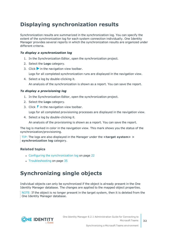## <span id="page-31-0"></span>**Displaying synchronization results**

Synchronization results are summarized in the synchronization log. You can specify the extent of the synchronization log for each system connection individually. One Identity Manager provides several reports in which the synchronization results are organized under different criteria.

### *To display a synchronization log*

- 1. In the Synchronization Editor, open the synchronization project.
- 2. Select the **Logs** category.
- 3. Click in the navigation view toolbar.
	- Logs for all completed synchronization runs are displayed in the navigation view.
- 4. Select a log by double-clicking it. An analysis of the synchronization is shown as a report. You can save the report.

### *To display a provisioning log*

- 1. In the Synchronization Editor, open the synchronization project.
- 2. Select the **Logs** category.
- 3. Click  $\ell$  in the navigation view toolbar.

Logs for all completed provisioning processes are displayed in the navigation view.

4. Select a log by double-clicking it.

An analysis of the provisioning is shown as a report. You can save the report.

The log is marked in color in the navigation view. This mark shows you the status of the synchronization/provisioning.

TIP: The logs are also displayed in the Manager under the **<target system> > synchronization log** category.

### **Related topics**

- Configuring the [synchronization](#page-21-0) log on page 22
- $\cdot$  [Troubleshooting](#page-34-1) on page 35

## <span id="page-31-1"></span>**Synchronizing single objects**

Individual objects can only be synchronized if the object is already present in the One Identity Manager database. The changes are applied to the mapped object properties.

NOTE: If the object is no longer present in the target system, then it is deleted from the One Identity Manager database.

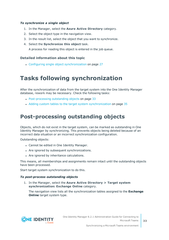### *To synchronize a single object*

- 1. In the Manager, select the **Azure Active Directory** category.
- 2. Select the object type in the navigation view.
- 3. In the result list, select the object that you want to synchronize.
- 4. Select the **Synchronize this object** task.

A process for reading this object is entered in the job queue.

### **Detailed information about this topic**

• Configuring single object [synchronization](#page-26-0) on page 27

## <span id="page-32-0"></span>**Tasks following synchronization**

After the synchronization of data from the target system into the One Identity Manager database, rework may be necessary. Check the following tasks:

- [Post-processing](#page-32-1) outstanding objects on page 33
- Adding custom tables to the target system [synchronization](#page-34-0) on page 35

## <span id="page-32-1"></span>**Post-processing outstanding objects**

Objects, which do not exist in the target system, can be marked as outstanding in One Identity Manager by synchronizing. This prevents objects being deleted because of an incorrect data situation or an incorrect synchronization configuration.

Outstanding objects:

- Cannot be edited in One Identity Manager.
- Are ignored by subsequent synchronizations.
- Are ignored by inheritance calculations.

This means, all memberships and assignments remain intact until the outstanding objects have been processed.

Start target system synchronization to do this.

### *To post-process outstanding objects*

1. In the Manager, select the **Azure Active Directory > Target system synchronization: Exchange Online** category.

The navigation view lists all the synchronization tables assigned to the **Exchange Online** target system type.

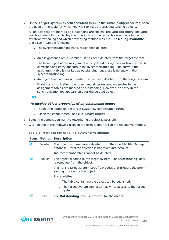2. On the **Target system synchronization** form, in the **Table / object** column, open the node of the table for which you want to post-process outstanding objects.

All objects that are marked as outstanding are shown. The **Last log entry** and **Last method run** columns display the time at which the last entry was made in the synchronization log and which processing method was run. The **No log available** entry can mean the following:

• The synchronization log has already been deleted.

- OR -

. An assignment from a member list has been deleted from the target system.

The base object of the assignment was updated during the synchronization. A corresponding entry appears in the synchronization log. The entry in the assignment table is marked as outstanding, but there is no entry in the synchronization log.

• An object that contains a member list has been deleted from the target system.

During synchronization, the object and all corresponding entries in the assignment tables are marked as outstanding. However, an entry in the synchronization log appears only for the deleted object.

TIP:

### *To display object properties of an outstanding object*

- 1. Select the object on the target system synchronization form.
- 2. Open the context menu and click **Show object**.
- 3. Select the objects you want to rework. Multi-select is possible.
- 4. Click on one of the following icons in the form toolbar to run the respective method.

#### **Table 5: Methods for handling outstanding objects**

### **Icon Method Description**

|    | Delete         | The object is immediately deleted from the One Identity Manager<br>database. Deferred deletion is not taken into account.<br>Indirect memberships cannot be deleted. |
|----|----------------|----------------------------------------------------------------------------------------------------------------------------------------------------------------------|
| F  | <b>Publish</b> | The object is added to the target system. The <b>Outstanding</b> label<br>is removed from the object.                                                                |
|    |                | This runs a target system specific process that triggers the provi-<br>sioning process for the object.                                                               |
|    |                | Prerequisites:                                                                                                                                                       |
|    |                | • The table containing the object can be published.                                                                                                                  |
|    |                | • The target system connector has write access to the target<br>system.                                                                                              |
| 51 | Reset          | The <b>Outstanding</b> label is removed for the object.                                                                                                              |

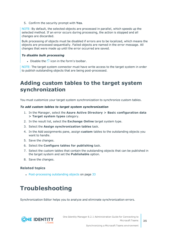5. Confirm the security prompt with **Yes**.

NOTE: By default, the selected objects are processed in parallel, which speeds up the selected method. If an error occurs during processing, the action is stopped and all changes are discarded.

Bulk processing of objects must be disabled if errors are to be localized, which means the objects are processed sequentially. Failed objects are named in the error message. All changes that were made up until the error occurred are saved.

### *To disable bulk processing*

• Disable the  $\bigcirc$  icon in the form's toolbar.

NOTE: The target system connector must have write access to the target system in order to publish outstanding objects that are being post-processed.

## <span id="page-34-0"></span>**Adding custom tables to the target system synchronization**

You must customize your target system synchronization to synchronize custom tables.

### *To add custom tables to target system synchronization*

- 1. In the Manager, select the **Azure Active Directory > Basic configuration data > Target system types** category.
- 2. In the result list, select the **Exchange Online** target system type.
- 3. Select the **Assign synchronization tables** task.
- 4. In the Add assignments pane, assign **custom** tables to the outstanding objects you want to handle.
- 5. Save the changes.
- 6. Select the **Configure tables for publishing** task.
- 7. Select the custom tables that contain the outstanding objects that can be published in the target system and set the **Publishable** option.
- 8. Save the changes.

### **Related topics**

• [Post-processing](#page-32-1) outstanding objects on page 33

## <span id="page-34-1"></span>**Troubleshooting**

Synchronization Editor helps you to analyze and eliminate synchronization errors.

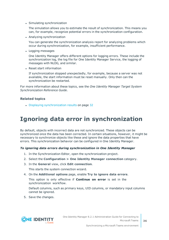• Simulating synchronization

The simulation allows you to estimate the result of synchronization. This means you can, for example, recognize potential errors in the synchronization configuration.

• Analyzing synchronization

You can generate the synchronization analysis report for analyzing problems which occur during synchronization, for example, insufficient performance.

• Logging messages

One Identity Manager offers different options for logging errors. These include the synchronization log, the log file for One Identity Manager Service, the logging of messages with NLOG, and similar.

• Reset start information

If synchronization stopped unexpectedly, for example, because a server was not available, the start information must be reset manually. Only then can the synchronization be restarted.

For more information about these topics, see the *One Identity Manager Target System Synchronization Reference Guide*.

### **Related topics**

<span id="page-35-0"></span>• Displaying [synchronization](#page-31-0) results on page 32

## **Ignoring data error in synchronization**

By default, objects with incorrect data are not synchronized. These objects can be synchronized once the data has been corrected. In certain situations, however, it might be necessary to synchronize objects like these and ignore the data properties that have errors. This synchronization behavior can be configured in One Identity Manager.

### *To ignoring data errors during synchronization in One Identity Manager*

- 1. In the Synchronization Editor, open the synchronization project.
- 2. Select the **Configuration > One Identity Manager connection** category.
- 3. In the **General** view, click **Edit connection**.

This starts the system connection wizard.

4. On the **Additional options** page, enable **Try to ignore data errors**.

This option is only effective if **Continue on error** is set in the synchronization workflow.

Default columns, such as primary keys, UID columns, or mandatory input columns cannot be ignored.

5. Save the changes.

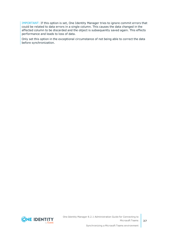IMPORTANT: If this option is set, One Identity Manager tries to ignore commit errors that could be related to data errors in a single column. This causes the data changed in the affected column to be discarded and the object is subsequently saved again. This effects performance and leads to loss of data.

Only set this option in the exceptional circumstance of not being able to correct the data before synchronization.



One Identity Manager 8.2.1 Administration Guide for Connecting to Microsoft Teams

Synchronizing a Microsoft Teams environment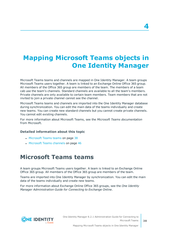# <span id="page-37-0"></span>**Mapping Microsoft Teams objects in One Identity Manager**

Microsoft Teams teams and channels are mapped in One Identity Manager. A team groups Microsoft Teams users together. A team is linked to an Exchange Online Office 365 group. All members of the Office 365 group are members of the team. The members of a team cab use the team's channels. Standard channels are available to all the team's members. Private channels are only available to certain team members. Team members that are not invited to join a private channel cannot see the channel.

Microsoft Teams teams and channels are imported into the One Identity Manager database during synchronization. You can edit the main data of the teams individually and create new teams. You can create new standard channels but you cannot create private channels. You cannot edit existing channels.

For more information about Microsoft Teams, see the *Microsoft Teams documentation* from Microsoft.

#### **Detailed information about this topic**

- [Microsoft](#page-37-1) Teams teams on page 38
- <span id="page-37-1"></span>• [Microsoft](#page-45-0) Teams channels on page 46

## **Microsoft Teams teams**

A team groups Microsoft Teams users together. A team is linked to an Exchange Online Office 365 group. All members of the Office 365 group are members of the team.

Teams are imported into One Identity Manager by synchronization. You can edit the main data of the teams individually and create new teams.

For more information about Exchange Online Office 365 groups, see the *One Identity Manager Administration Guide for Connecting to Exchange Online*.

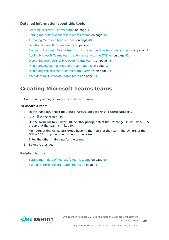### **Detailed information about this topic**

- Creating [Microsoft](#page-38-0) Teams teams on page 39
- Editing main data of [Microsoft](#page-39-0) Teams teams on page 40
- [Archiving](#page-39-1) Microsoft Teams teams on page 40
- Deleting [Microsoft](#page-39-2) Teams teams on page 40
- [Assigning](#page-40-0) Microsoft Teams teams to Azure Active Directory user accounts on page 41
- Adding Microsoft Teams teams [automatically](#page-41-0) to the IT Shop on page 42
- [Displaying](#page-42-0) members of Microsoft Teams teams on page 43
- [Displaying](#page-42-1) owners of Microsoft Teams teams on page 43
- [Displaying](#page-43-0) the Microsoft Teams team overview on page 44
- Main data for [Microsoft](#page-43-1) Teams teams on page 44

## <span id="page-38-0"></span>**Creating Microsoft Teams teams**

In One Identity Manager, you can create new teams.

### *To create a team*

- 1. In the Manager, select the **Azure Active Directory > Teams** category.
- 2. Click  $\frac{1}{2}$  in the result list.
- 3. On the **General** tab, under **Office 365 group**, select the Exchange Online Office 365 group that the team is linked to.

Members of this Office 365 group become members of the team. The owners of the Office 365 group become owners of the team.

- 4. Enter the other main data for the team.
- 5. Save the changes.

### **Related topics**

- Editing main data of [Microsoft](#page-39-0) Teams teams on page 40
- Main data for [Microsoft](#page-43-1) Teams teams on page 44

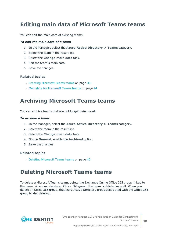## <span id="page-39-0"></span>**Editing main data of Microsoft Teams teams**

You can edit the main data of existing teams.

### *To edit the main data of a team*

- 1. In the Manager, select the **Azure Active Directory > Teams** category.
- 2. Select the team in the result list.
- 3. Select the **Change main data** task.
- 4. Edit the team's main data.
- 5. Save the changes.

### **Related topics**

- Creating [Microsoft](#page-38-0) Teams teams on page 39
- Main data for [Microsoft](#page-43-1) Teams teams on page 44

### <span id="page-39-1"></span>**Archiving Microsoft Teams teams**

You can archive teams that are not longer being used.

#### *To archive a team*

- 1. In the Manager, select the **Azure Active Directory > Teams** category.
- 2. Select the team in the result list.
- 3. Select the **Change main data** task.
- 4. On the **General**, enable the **Archived** option.
- 5. Save the changes.

### **Related topics**

• Deleting [Microsoft](#page-39-2) Teams teams on page 40

### <span id="page-39-2"></span>**Deleting Microsoft Teams teams**

To delete a Microsoft Teams team, delete the Exchange Online Office 365 group linked to the team. When you delete an Office 365 group, the team is deleted as well. When you delete an Office 365 group, the Azure Active Directory group associated with the Office 365 group is also deleted.

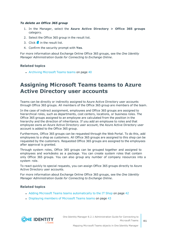### *To delete an Office 365 group*

- 1. In the Manager, select the **Azure Active Directory > Office 365 groups** category.
- 2. Select the Office 365 group in the result list.
- 3. Click  $\mathbf{\hat{i}}$  in the result list.
- 4. Confirm the security prompt with **Yes**.

For more information about Exchange Online Office 365 groups, see the *One Identity Manager Administration Guide for Connecting to Exchange Online*.

### **Related topics**

• [Archiving](#page-39-1) Microsoft Teams teams on page 40

## <span id="page-40-0"></span>**Assigning Microsoft Teams teams to Azure Active Directory user accounts**

Teams can be directly or indirectly assigned to Azure Active Directory user accounts through Office 365 groups. All members of the Office 365 group are members of the team.

In the case of indirect assignment, employees and Office 365 groups are assigned to hierarchical roles, such as departments, cost centers, locations, or business roles. The Office 365 groups assigned to an employee are calculated from the position in the hierarchy and the direction of inheritance. If you add an employee to roles and that employee owns an Azure Active Directory user account, the Azure Active Directory user account is added to the Office 365 group.

Furthermore, Office 365 groups can be requested through the Web Portal. To do this, add employees to a shop as customers. All Office 365 groups are assigned to this shop can be requested by the customers. Requested Office 365 groups are assigned to the employees after approval is granted.

Through system roles, Office 365 groups can be grouped together and assigned to employees and workdesks as a package. You can create system roles that contain only Office 365 groups. You can also group any number of company resources into a system role.

To react quickly to special requests, you can assign Office 365 groups directly to Azure Active Directory user accounts.

For more information about Exchange Online Office 365 groups, see the *One Identity Manager Administration Guide for Connecting to Exchange Online*.

### **Related topics**

- Adding Microsoft Teams teams [automatically](#page-41-0) to the IT Shop on page 42
- [Displaying](#page-42-0) members of Microsoft Teams teams on page 43

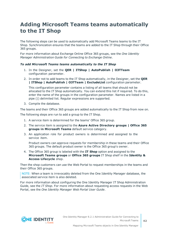## <span id="page-41-0"></span>**Adding Microsoft Teams teams automatically to the IT Shop**

The following steps can be used to automatically add Microsoft Teams teams to the IT Shop. Synchronization ensures that the teams are added to the IT Shop through their Office 365 groups.

For more information about Exchange Online Office 365 groups, see the *One Identity Manager Administration Guide for Connecting to Exchange Online*.

### *To add Microsoft Teams teams automatically to the IT Shop*

- 1. In the Designer, set the **QER | ITShop | AutoPublish | O3TTeam** configuration parameter.
- 2. In order not to add teams to the IT Shop automatically, in the Designer, set the **QER | ITShop | AutoPublish | O3TTeam | ExcludeList** configuration parameter.

This configuration parameter contains a listing of all teams that should not be allocated to the IT Shop automatically. You can extend this list if required. To do this, enter the name of the groups in the configuration parameter. Names are listed in a pipe (|) delimited list. Regular expressions are supported.

3. Compile the database.

The teams and their Office 365 groups are added automatically to the IT Shop from now on. The following steps are run to add a group to the IT Shop.

- 1. A service item is determined for the teams' Office 365 group.
- 2. The service item is assigned to the **Azure Active Directory groups | Office 365 groups in Microsoft Teams** default service category.
- 3. An application role for product owners is determined and assigned to the service item.

Product owners can approve requests for membership in these teams and their Office 365 groups. The default product owner is the Office 365 group's owner.

4. The Office 365 group is labeled with the **IT Shop** option and assigned to the **Microsoft Teams groups** or **Office 365 groups** IT Shop shelf in the **Identity & Access Lifecycle** shop.

Then the shop customers can use the Web Portal to request memberships in the teams and their Office 365 groups.

NOTE: When a team is irrevocably deleted from the One Identity Manager database, the associated service item is also deleted.

For more information about configuring the One Identity Manager IT Shop Administration Guide, see the *IT Shop*. For more information about requesting access requests in the Web Portal, see the *One Identity Manager Web Portal User Guide*.

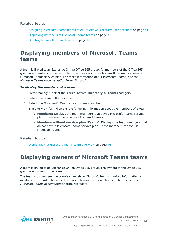### **Related topics**

- [Assigning](#page-40-0) Microsoft Teams teams to Azure Active Directory user accounts on page 41
- [Displaying](#page-42-0) members of Microsoft Teams teams on page 43
- Deleting [Microsoft](#page-39-2) Teams teams on page 40

## <span id="page-42-0"></span>**Displaying members of Microsoft Teams teams**

A team is linked to an Exchange Online Office 365 group. All members of the Office 365 group are members of the team. In order for users to use Microsoft Teams, you need a Microsoft Teams service plan. For more information about Microsoft Teams, see the *Microsoft Teams documentation* from Microsoft.

### *To display the members of a team*

- 1. In the Manager, select the **Azure Active Directory > Teams** category.
- 2. Select the team in the result list.
- 3. Select the **Microsoft Teams team overview** task.

The overview form displays the following information about the members of a team:

- **Members:** Displays the team members that own a Microsoft Teams service plan. These members can use Microsoft Teams.
- <sup>l</sup> **Members without service plan 'Teams'**: Displays the team members that do not have a Microsoft Teams service plan. These members cannot use Microsoft Teams.

### **Related topics**

• [Displaying](#page-43-0) the Microsoft Teams team overview on page 44

## <span id="page-42-1"></span>**Displaying owners of Microsoft Teams teams**

A team is linked to an Exchange Online Office 365 group. The owners of the Office 365 group are owners of the team.

The team's owners see the team's channels in Microsoft Teams. Limited information is available for private channels. For more information about Microsoft Teams, see the *Microsoft Teams documentation* from Microsoft.

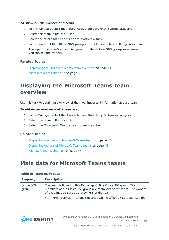### *To show all the owners of a team*

- 1. In the Manager, select the **Azure Active Directory > Teams** category.
- 2. Select the team in the result list.
- 3. Select the **Microsoft Teams team overview** task.
- 4. In the header of the **Office 365 groups** form element, click on the group's name. This opens the team's Office 365 group. On the **Office 365 group overview** form, you can see the owners.

### **Related topics**

- [Displaying](#page-43-0) the Microsoft Teams team overview on page 44
- [Microsoft](#page-45-0) Teams channels on page 46

## <span id="page-43-0"></span>**Displaying the Microsoft Teams team overview**

Use this task to obtain an overview of the most important information about a team.

#### *To obtain an overview of a user account*

- 1. In the Manager, select the **Azure Active Directory > Teams** category.
- 2. Select the team in the result list.
- 3. Select the **Microsoft Teams team overview** task.

### **Related topics**

- [Displaying](#page-42-0) members of Microsoft Teams teams on page 43
- [Displaying](#page-42-1) owners of Microsoft Teams teams on page 43
- [Microsoft](#page-45-0) Teams channels on page 46

### <span id="page-43-1"></span>**Main data for Microsoft Teams teams**

#### **Table 6: Team main data**

| <b>Property</b>     | <b>Description</b>                                                                                                                                                                         |
|---------------------|--------------------------------------------------------------------------------------------------------------------------------------------------------------------------------------------|
| Office 365<br>group | The team is linked to this Exchange Online Office 365 group. The<br>members of the Office 365 group are members of the team. The owners<br>of the Office 365 group are owners of the team. |
|                     | For more information about Exchange Online Office 365 groups, see the                                                                                                                      |

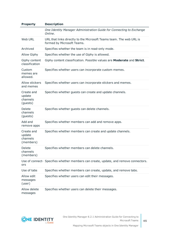| <b>Property</b>                               | <b>Description</b>                                                                                |
|-----------------------------------------------|---------------------------------------------------------------------------------------------------|
|                                               | One Identity Manager Administration Guide for Connecting to Exchange<br>Online.                   |
| Web URL                                       | URL that links directly to the Microsoft Teams team. The web URL is<br>formed by Microsoft Teams. |
| Archived                                      | Specifies whether the team is in read-only mode.                                                  |
| <b>Allow Giphy</b>                            | Specifies whether the use of Giphy is allowed.                                                    |
| Giphy content<br>classification               | Giphy content classification. Possible values are Moderate and Strict.                            |
| Custom<br>memes are<br>allowed.               | Specifies whether users can incorporate custom memes.                                             |
| Allow stickers<br>and memes                   | Specifies whether users can incorporate stickers and memes.                                       |
| Create and<br>update<br>channels<br>(guests)  | Specifies whether guests can create and update channels.                                          |
| Delete<br>channels<br>(guests)                | Specifies whether guests can delete channels.                                                     |
| Add and<br>remove apps                        | Specifies whether members can add and remove apps.                                                |
| Create and<br>update<br>channels<br>(members) | Specifies whether members can create and update channels.                                         |
| Delete<br>channels<br>(members)               | Specifies whether members can delete channels.                                                    |
| ors                                           | Use of connect- Specifies whether members can create, update, and remove connectors.              |
| Use of tabs                                   | Specifies whether members can create, update, and remove tabs.                                    |
| Allow edit<br>messages<br>(user)              | Specifies whether users can edit their messages.                                                  |
| Allow delete<br>messages                      | Specifies whether users can delete their messages.                                                |

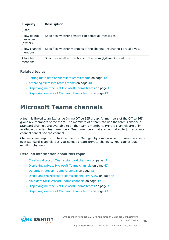| <b>Property</b>                     | <b>Description</b>                                                |
|-------------------------------------|-------------------------------------------------------------------|
| (user)                              |                                                                   |
| Allow delete<br>messages<br>(owner) | Specifies whether owners can delete all messages.                 |
| Allow channel<br>mentions           | Specifies whether mentions of the channel (@Channel) are allowed. |
| Allow team<br>mentions              | Specifies whether mentions of the team (@Team) are allowed.       |

### **Related topics**

- Editing main data of [Microsoft](#page-39-0) Teams teams on page 40
- [Archiving](#page-39-1) Microsoft Teams teams on page 40
- [Displaying](#page-42-0) members of Microsoft Teams teams on page 43
- <span id="page-45-0"></span>• [Displaying](#page-42-1) owners of Microsoft Teams teams on page 43

## **Microsoft Teams channels**

A team is linked to an Exchange Online Office 365 group. All members of the Office 365 group are members of the team. The members of a team cab use the team's channels. Standard channels are available to all the team's members. Private channels are only available to certain team members. Team members that are not invited to join a private channel cannot see the channel.

Channels are imported into One Identity Manager by synchronization. You can create new standard channels but you cannot create private channels. You cannot edit existing channels.

### **Detailed information about this topic**

- Creating [Microsoft](#page-46-0) Teams standard channels on page 47
- [Displaying](#page-46-1) private Microsoft Teams channels on page 47
- Deleting [Microsoft](#page-47-0) Teams channels on page 48
- [Displaying](#page-47-1) the Microsoft Teams channel overview on page 48
- Main data for [Microsoft](#page-48-0) Teams channels on page 49
- [Displaying](#page-42-0) members of Microsoft Teams teams on page 43
- [Displaying](#page-42-1) owners of Microsoft Teams teams on page 43

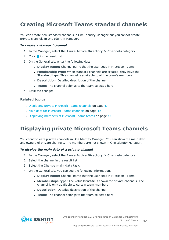## <span id="page-46-0"></span>**Creating Microsoft Teams standard channels**

You can create new standard channels in One Identity Manager but you cannot create private channels in One Identity Manager.

### *To create a standard channel*

- 1. In the Manager, select the **Azure Active Directory > Channels** category.
- 2. Click  $\frac{1}{2}$  in the result list.
- 3. On the General tab, enter the following data:
	- <sup>l</sup> **Display name**: Channel name that the user sees in Microsoft Teams.
	- **Membership type**: When standard channels are created, they have the **Standard** type. This channel is available to all the team's members.
	- **.** Description: Detailed description of the channel.
	- **· Team**: The channel belongs to the team selected here.
- 4. Save the changes.

### **Related topics**

- [Displaying](#page-46-1) private Microsoft Teams channels on page 47
- Main data for [Microsoft](#page-48-0) Teams channels on page 49
- [Displaying](#page-42-0) members of Microsoft Teams teams on page 43

## <span id="page-46-1"></span>**Displaying private Microsoft Teams channels**

You cannot create private channels in One Identity Manager. You can show the main data and owners of private channels. The members are not shown in One Identity Manager.

#### *To display the main data of a private channel*

- 1. In the Manager, select the **Azure Active Directory > Channels** category.
- 2. Select the channel in the result list.
- 3. Select the **Change main data** task.
- 4. On the General tab, you can see the following information.
	- <sup>l</sup> **Display name**: Channel name that the user sees in Microsoft Teams.
	- **. Memberships type:** The value **Private** is shown for private channels. The channel is only available to certain team members.
	- **.** Description: Detailed description of the channel.
	- **Team**: The channel belongs to the team selected here.



Mapping Microsoft Teams objects in One Identity Manager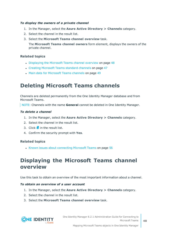### *To display the owners of a private channel*

- 1. In the Manager, select the **Azure Active Directory > Channels** category.
- 2. Select the channel in the result list.
- 3. Select the **Microsoft Teams channel overview** task.

The **Microsoft Teams channel owners** form element, displays the owners of the private channel.

### **Related topics**

- [Displaying](#page-47-1) the Microsoft Teams channel overview on page 48
- Creating [Microsoft](#page-46-0) Teams standard channels on page 47
- Main data for [Microsoft](#page-48-0) Teams channels on page 49

## <span id="page-47-0"></span>**Deleting Microsoft Teams channels**

Channels are deleted permanently from the One Identity Manager database and from Microsoft Teams.

NOTE: Channels with the name **General** cannot be deleted in One Identity Manager.

### *To delete a channel*

- 1. In the Manager, select the **Azure Active Directory > Channels** category.
- 2. Select the channel in the result list.
- 3. Click  $\mathbf{\hat{z}}$  in the result list.
- 4. Confirm the security prompt with **Yes**.

### **Related topics**

• Known issues about [connecting](#page-55-0) Microsoft Teams on page 56

## <span id="page-47-1"></span>**Displaying the Microsoft Teams channel overview**

Use this task to obtain an overview of the most important information about a channel.

#### *To obtain an overview of a user account*

- 1. In the Manager, select the **Azure Active Directory > Channels** category.
- 2. Select the channel in the result list.
- 3. Select the **Microsoft Teams channel overview** task.



One Identity Manager 8.2.1 Administration Guide for Connecting to Microsoft Teams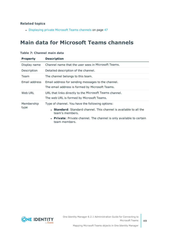### **Related topics**

• [Displaying](#page-46-1) private Microsoft Teams channels on page 47

## <span id="page-48-0"></span>**Main data for Microsoft Teams channels**

| <b>Property</b>    | <b>Description</b>                                                                                    |  |  |  |  |
|--------------------|-------------------------------------------------------------------------------------------------------|--|--|--|--|
| Display name       | Channel name that the user sees in Microsoft Teams.                                                   |  |  |  |  |
| Description        | Detailed description of the channel.                                                                  |  |  |  |  |
| Team               | The channel belongs to this team.                                                                     |  |  |  |  |
| Email address      | Email address for sending messages to the channel.<br>The email address is formed by Microsoft Teams. |  |  |  |  |
| Web URL            | URL that links directly to the Microsoft Teams channel.<br>The web URL is formed by Microsoft Teams.  |  |  |  |  |
| Membership<br>type | Type of channel. You have the following options:                                                      |  |  |  |  |
|                    | • Standard: Standard channel. This channel is available to all the<br>team's members.                 |  |  |  |  |
|                    | • Private: Private channel. The channel is only available to certain<br>team members.                 |  |  |  |  |

### **Table 7: Channel main data**

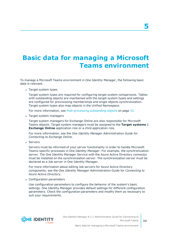# <span id="page-49-0"></span>**Basic data for managing a Microsoft Teams environment**

To manage a Microsoft Teams environment in One Identity Manager, the following basic data is relevant.

• Target system types

Target system types are required for configuring target system comparisons. Tables with outstanding objects are maintained with the target system types and settings are configured for provisioning memberships and single objects synchronization. Target system types also map objects in the Unified Namespace.

For more information, see [Post-processing](#page-32-1) outstanding objects on page 33.

• Target system managers

Target system managers for Exchange Online are also responsible for Microsoft Teams objects. Target system managers must be assigned to the **Target systems | Exchange Online** application role or a child application role.

For more information, see the *One Identity Manager Administration Guide for Connecting to Exchange Online*.

• Servers

Servers must be informed of your server functionality in order to handle Microsoft Teams-specific processes in One Identity Manager. For example, the synchronization server. The One Identity Manager Service with the Azure Active Directory connector must be installed on the synchronization server. The synchronization server must be declared as a Job server in One Identity Manager.

For more information about editing Job servers for Azure Active Directory components, see the *One Identity Manager Administration Guide for Connecting to Azure Active Directory*.

• Configuration parameters

Use configuration parameters to configure the behavior of the system's basic settings. One Identity Manager provides default settings for different configuration parameters. Check the configuration parameters and modify them as necessary to suit your requirements.

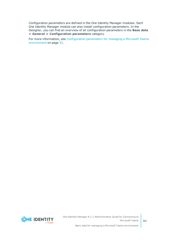Configuration parameters are defined in the One Identity Manager modules. Each One Identity Manager module can also install configuration parameters. In the Designer, you can find an overview of all configuration parameters in the **Base data > General > Configuration parameters** category.

For more information, see [Configuration](#page-51-0) parameters for managing a Microsoft Teams [environment](#page-51-0) on page 52.



Basic data for managing a Microsoft Teams environment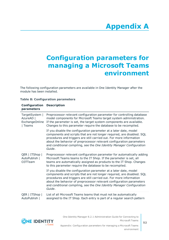# **Appendix A**

# <span id="page-51-0"></span>**Appendix:Configuration parameters for managing a Microsoft Teams environment**

The following configuration parameters are available in One Identity Manager after the module has been installed.

| Configuration<br>parameters                                     | <b>Description</b>                                                                                                                                                                                                                                                                                                                                                            |
|-----------------------------------------------------------------|-------------------------------------------------------------------------------------------------------------------------------------------------------------------------------------------------------------------------------------------------------------------------------------------------------------------------------------------------------------------------------|
| TargetSystem  <br>AzureAD  <br><b>ExchangeOnline</b><br>  Teams | Preprocessor relevant configuration parameter for controlling database<br>model components for Microsoft Teams target system administration.<br>If the parameter is set, the target system components are available.<br>Changes to this parameter require the database to be recompiled.                                                                                      |
|                                                                 | If you disable the configuration parameter at a later date, model<br>components and scripts that are not longer required, are disabled. SQL<br>procedures and triggers are still carried out. For more information<br>about the behavior of preprocessor relevant configuration parameters<br>and conditional compiling, see the One Identity Manager Configuration<br>Guide. |
| QER   ITShop  <br>AutoPublish  <br>03TTeam                      | Preprocessor relevant configuration parameter for automatically adding<br>Microsoft Teams teams to the IT Shop. If the parameter is set, all<br>teams are automatically assigned as products to the IT Shop. Changes<br>to this parameter require the database to be recompiled.                                                                                              |
|                                                                 | If you disable the configuration parameter at a later date, model<br>components and scripts that are not longer required, are disabled. SQL<br>procedures and triggers are still carried out. For more information<br>about the behavior of preprocessor relevant configuration parameters<br>and conditional compiling, see the One Identity Manager Configuration<br>Guide. |
| QER   ITShop  <br>AutoPublish                                   | List of all Microsoft Teams teams that must not be automatically<br>assigned to the IT Shop. Each entry is part of a regular search pattern                                                                                                                                                                                                                                   |

### **Table 8: Configuration parameters**

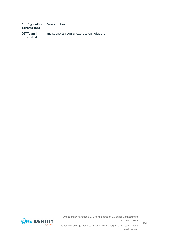### **Configuration Description parameters**

O3TTeam | ExcludeList and supports regular expression notation.



One Identity Manager 8.2.1 Administration Guide for Connecting to Microsoft Teams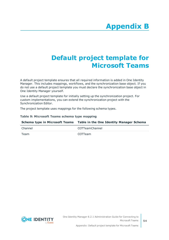# **Appendix:Default project template for Microsoft Teams**

<span id="page-53-0"></span>A default project template ensures that all required information is added in One Identity Manager. This includes mappings, workflows, and the synchronization base object. If you do not use a default project template you must declare the synchronization base object in One Identity Manager yourself.

Use a default project template for initially setting up the synchronization project. For custom implementations, you can extend the synchronization project with the Synchronization Editor.

The project template uses mappings for the following schema types.

### **Table 9: Microsoft Teams schema type mapping**

|         | Schema type in Microsoft Teams Table in the One Identity Manager Schema |  |  |
|---------|-------------------------------------------------------------------------|--|--|
| Channel | O3TTeamChannel                                                          |  |  |
| Team    | 03TTeam                                                                 |  |  |

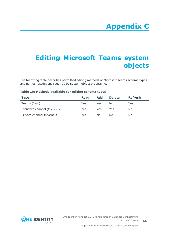# <span id="page-54-0"></span>**Appendix:Editing Microsoft Teams system objects**

The following table describes permitted editing methods of Microsoft Teams schema types and names restrictions required by system object processing.

### **Table 10: Methods available for editing schema types**

| <b>Type</b>                | Read | Add | <b>Delete</b> | <b>Refresh</b> |
|----------------------------|------|-----|---------------|----------------|
| Teams (Team)               | Yes  | Yes | Nο            | Yes            |
| Standard channel (Channel) | Yes. | Yes | Yes           | No.            |
| Private channel (Channel)  | Yes  | No. | N٥            | No.            |

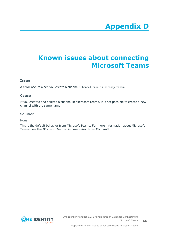# **Appendix D**

# <span id="page-55-0"></span>**Appendix:Known issues about connecting Microsoft Teams**

### **Issue**

A error occurs when you create a channel: Channel name is already taken.

### **Cause**

If you created and deleted a channel in Microsoft Teams, it is not possible to create a new channel with the same name.

### **Solution**

None.

This is the default behavior from Microsoft Teams. For more information about Microsoft Teams, see the *Microsoft Teams documentation* from Microsoft.

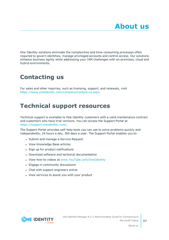<span id="page-56-0"></span>One Identity solutions eliminate the complexities and time-consuming processes often required to govern identities, manage privileged accounts and control access. Our solutions enhance business agility while addressing your IAM challenges with on-premises, cloud and hybrid environments.

# <span id="page-56-1"></span>**Contacting us**

For sales and other inquiries, such as licensing, support, and renewals, visit <https://www.oneidentity.com/company/contact-us.aspx>.

## <span id="page-56-2"></span>**Technical support resources**

Technical support is available to One Identity customers with a valid maintenance contract and customers who have trial versions. You can access the Support Portal at [https://support.oneidentity.com/.](https://support.oneidentity.com/)

The Support Portal provides self-help tools you can use to solve problems quickly and independently, 24 hours a day, 365 days a year. The Support Portal enables you to:

- Submit and manage a Service Request
- View Knowledge Base articles
- Sign up for product notifications
- Download software and technical documentation
- View how-to videos at [www.YouTube.com/OneIdentity](http://www.youtube.com/OneIdentity)
- Engage in community discussions
- Chat with support engineers online
- View services to assist you with your product

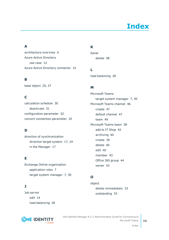# **Index**

### <span id="page-57-0"></span>**A**

architecture overview [6](#page-5-1) Azure Active Directory use case [12](#page-11-0) Azure Active Directory connector [15](#page-14-0)

### **B**

base object [25](#page-24-0), [27](#page-26-0)

### **C**

calculation schedule [30](#page-29-0) deactivate [31](#page-30-0) configuration parameter [52](#page-51-0) convert connection parameter [25](#page-24-0)

### **D**

direction of synchronization direction target system [17,](#page-16-0) [24](#page-23-0) in the Manager [17](#page-16-0)

### **E**

Exchange Online organization application roles [7](#page-6-0) target system manager [7](#page-6-0), [50](#page-49-0)

### **J**

Job server edit [14](#page-13-0) load balancing [28](#page-27-0)



### **K**

Kanal delete [48](#page-47-0)

**L** load balancing [28](#page-27-0)

### **M**

Microsoft Teams target system manager [7](#page-6-0), [50](#page-49-0) Microsoft Teams channel [46](#page-45-0) create [47](#page-46-0) default channel [47](#page-46-0) team [49](#page-48-0) Microsoft Teams team [38](#page-37-1) add to IT Shop [42](#page-41-0) archiving [40](#page-39-1) create [39](#page-38-0) delete [40](#page-39-2) edit [40](#page-39-0) member [43](#page-42-0) Office 365 group [44](#page-43-1) owner [43](#page-42-1)

### **O**

object delete immediately [33](#page-32-1) outstanding [33](#page-32-1)